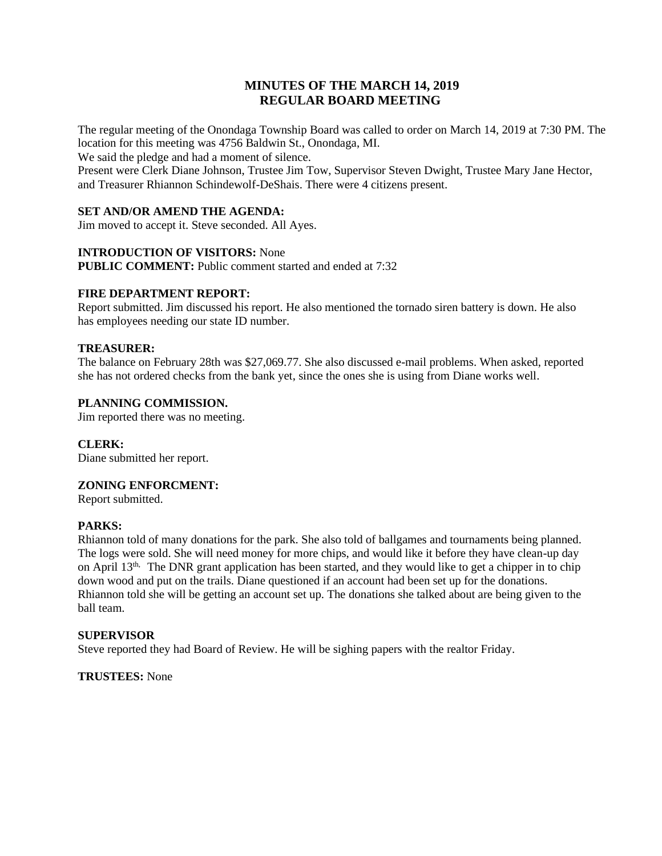# **MINUTES OF THE MARCH 14, 2019 REGULAR BOARD MEETING**

The regular meeting of the Onondaga Township Board was called to order on March 14, 2019 at 7:30 PM. The location for this meeting was 4756 Baldwin St., Onondaga, MI.

We said the pledge and had a moment of silence.

Present were Clerk Diane Johnson, Trustee Jim Tow, Supervisor Steven Dwight, Trustee Mary Jane Hector, and Treasurer Rhiannon Schindewolf-DeShais. There were 4 citizens present.

## **SET AND/OR AMEND THE AGENDA:**

Jim moved to accept it. Steve seconded. All Ayes.

### **INTRODUCTION OF VISITORS:** None

**PUBLIC COMMENT:** Public comment started and ended at 7:32

#### **FIRE DEPARTMENT REPORT:**

Report submitted. Jim discussed his report. He also mentioned the tornado siren battery is down. He also has employees needing our state ID number.

### **TREASURER:**

The balance on February 28th was \$27,069.77. She also discussed e-mail problems. When asked, reported she has not ordered checks from the bank yet, since the ones she is using from Diane works well.

### **PLANNING COMMISSION.**

Jim reported there was no meeting.

#### **CLERK:**

Diane submitted her report.

#### **ZONING ENFORCMENT:**

Report submitted.

## **PARKS:**

Rhiannon told of many donations for the park. She also told of ballgames and tournaments being planned. The logs were sold. She will need money for more chips, and would like it before they have clean-up day on April 13<sup>th,</sup> The DNR grant application has been started, and they would like to get a chipper in to chip down wood and put on the trails. Diane questioned if an account had been set up for the donations. Rhiannon told she will be getting an account set up. The donations she talked about are being given to the ball team.

#### **SUPERVISOR**

Steve reported they had Board of Review. He will be sighing papers with the realtor Friday.

**TRUSTEES:** None